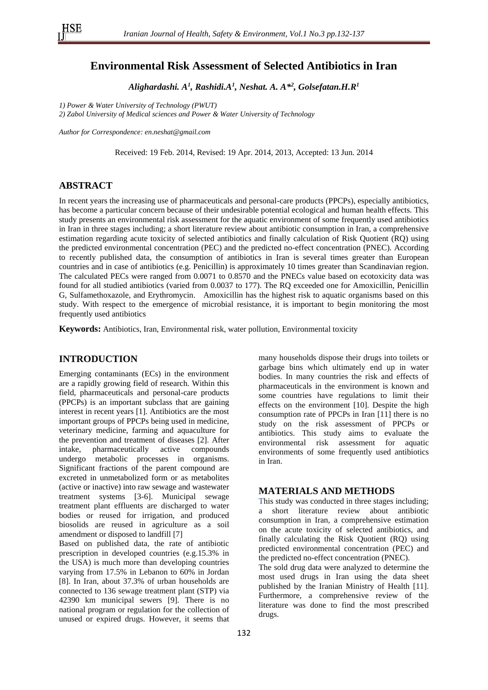## **Environmental Risk Assessment of Selected Antibiotics in Iran**

*Alighardashi. A 1 , Rashidi.A<sup>1</sup> , Neshat. A. A\*<sup>2</sup> , Golsefatan.H.R<sup>1</sup>*

*1) Power & Water University of Technology (PWUT)*

*2) Zabol University of Medical sciences and Power & Water University of Technology*

*Author for Correspondence: en.neshat@gmail.com*

Received: 19 Feb. 2014, Revised: 19 Apr. 2014, 2013, Accepted: 13 Jun. 2014

## **ABSTRACT**

In recent years the increasing use of pharmaceuticals and personal-care products (PPCPs), especially antibiotics, has become a particular concern because of their undesirable potential ecological and human health effects. This study presents an environmental risk assessment for the aquatic environment of some frequently used antibiotics in Iran in three stages including; a short literature review about antibiotic consumption in Iran, a comprehensive estimation regarding acute toxicity of selected antibiotics and finally calculation of Risk Quotient (RQ) using the predicted environmental concentration (PEC) and the predicted no-effect concentration (PNEC). According to recently published data, the consumption of antibiotics in Iran is several times greater than European countries and in case of antibiotics (e.g. Penicillin) is approximately 10 times greater than Scandinavian region*.* The calculated PECs were ranged from 0.0071 to 0.8570 and the PNECs value based on ecotoxicity data was found for all studied antibiotics (varied from 0.0037 to 177). The RQ exceeded one for Amoxicillin, Penicillin G, Sulfamethoxazole, and Erythromycin. Amoxicillin has the highest risk to aquatic organisms based on this study. With respect to the emergence of microbial resistance, it is important to begin monitoring the most frequently used antibiotics

**Keywords:** Antibiotics, Iran, Environmental risk, water pollution, Environmental toxicity

### **INTRODUCTION**

Emerging contaminants (ECs) in the environment are a rapidly growing field of research. Within this field, pharmaceuticals and personal-care products (PPCPs) is an important subclass that are gaining interest in recent years [1]. Antibiotics are the most important groups of PPCPs being used in medicine, veterinary medicine, farming and aquaculture for the prevention and treatment of diseases [2]. After intake, pharmaceutically active compounds undergo metabolic processes in organisms. Significant fractions of the parent compound are excreted in unmetabolized form or as metabolites (active or inactive) into raw sewage and wastewater treatment systems [3-6]. Municipal sewage treatment plant effluents are discharged to water bodies or reused for irrigation, and produced biosolids are reused in agriculture as a soil amendment or disposed to landfill [7]

Based on published data, the rate of antibiotic prescription in developed countries (e.g.15.3% in the USA) is much more than developing countries varying from 17.5% in Lebanon to 60% in Jordan [8]. In Iran, about 37.3% of urban households are connected to 136 sewage treatment plant (STP) via 42390 km municipal sewers [9]. There is no national program or regulation for the collection of unused or expired drugs. However, it seems that

many households dispose their drugs into toilets or garbage bins which ultimately end up in water bodies. In many countries the risk and effects of pharmaceuticals in the environment is known and some countries have regulations to limit their effects on the environment [10]. Despite the high consumption rate of PPCPs in Iran [11] there is no study on the risk assessment of PPCPs or antibiotics. This study aims to evaluate the environmental risk assessment for aquatic environments of some frequently used antibiotics in Iran.

#### **MATERIALS AND METHODS**

This study was conducted in three stages including; a short literature review about antibiotic consumption in Iran, a comprehensive estimation on the acute toxicity of selected antibiotics, and finally calculating the Risk Quotient (RQ) using predicted environmental concentration (PEC) and the predicted no-effect concentration (PNEC).

The sold drug data were analyzed to determine the most used drugs in Iran using the data sheet published by the Iranian Ministry of Health [11]. Furthermore, a comprehensive review of the literature was done to find the most prescribed drugs.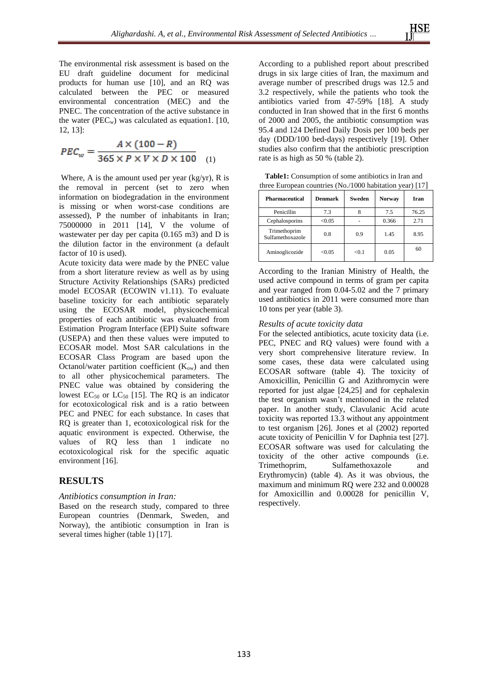The environmental risk assessment is based on the EU draft guideline document for medicinal products for human use [10], and an RQ was calculated between the PEC or measured environmental concentration (MEC) and the PNEC. The concentration of the active substance in the water ( $PEC_w$ ) was calculated as equation1. [10, 12, 13]:

$$
PEC_w = \frac{A \times (100 - R)}{365 \times P \times V \times D \times 100} \quad (1)
$$

Where, A is the amount used per year (kg/yr), R is the removal in percent (set to zero when information on biodegradation in the environment is missing or when worst-case conditions are assessed), P the number of inhabitants in Iran; 75000000 in 2011 [14], V the volume of wastewater per day per capita (0.165 m3) and D is the dilution factor in the environment (a default factor of 10 is used).

Acute toxicity data were made by the PNEC value from a short literature review as well as by using Structure Activity Relationships (SARs) predicted model ECOSAR (ECOWIN v1.11). To evaluate baseline toxicity for each antibiotic separately using the ECOSAR model, physicochemical properties of each antibiotic was evaluated from [Estimation Program](http://www.google.com/url?sa=t&rct=j&q=epi%20suite%20interface&source=web&cd=2&cad=rja&ved=0CDQQFjAB&url=http%3A%2F%2Fwww.epa.gov%2Fopptintr%2Fexposure%2Fpubs%2Fepisuite.htm&ei=3Io9UcyUCMW00QH_1ICACg&usg=AFQjCNFJ9qKJSuUQLr6VDzWcMklESrQ5cA&bvm=bv.43287494,d.dmQ) Interface (EPI) Suite software (USEPA) and then these values were imputed to ECOSAR model. Most SAR calculations in the ECOSAR Class Program are based upon the Octanol/water partition coefficient  $(K_{ow})$  and then to all other physicochemical parameters. The PNEC value was obtained by considering the lowest  $EC_{50}$  or  $LC_{50}$  [15]. The RO is an indicator for ecotoxicological risk and is a ratio between PEC and PNEC for each substance. In cases that RQ is greater than 1, ecotoxicological risk for the aquatic environment is expected. Otherwise, the values of RQ less than 1 indicate no ecotoxicological risk for the specific aquatic environment [16].

## **RESULTS**

### *Antibiotics consumption in Iran:*

Based on the research study, compared to three European countries (Denmark, Sweden, and Norway), the antibiotic consumption in Iran is several times higher (table 1) [17].

According to a published report about prescribed drugs in six large cities of Iran, the maximum and average number of prescribed drugs was 12.5 and 3.2 respectively, while the patients who took the antibiotics varied from 47-59% [18]. A study conducted in Iran showed that in the first 6 months of 2000 and 2005, the antibiotic consumption was 95.4 and 124 Defined Daily Dosis per 100 beds per day (DDD/100 bed-days) respectively [19]. Other studies also confirm that the antibiotic prescription rate is as high as 50 % (table 2).

**Table1:** Consumption of some antibiotics in Iran and three European countries (No./1000 habitation year) [17]

| <b>Pharmaceutical</b>            | Denmark | Sweden | <b>Norway</b> | Iran  |
|----------------------------------|---------|--------|---------------|-------|
| Penicillin                       | 7.3     |        | 7.5           | 76.25 |
| Cephalosporins                   | < 0.05  |        | 0.366         | 2.71  |
| Trimethoprim<br>Sulfamethoxazole | 0.8     | 0.9    | 1.45          | 8.95  |
| Aminoglicozide                   | < 0.05  | < 0.1  | 0.05          | 60    |

According to the Iranian Ministry of Health, the used active compound in terms of gram per capita and year ranged from 0.04-5.02 and the 7 primary used antibiotics in 2011 were consumed more than 10 tons per year (table 3).

### *Results of acute toxicity data*

For the selected antibiotics, acute toxicity data (i.e. PEC, PNEC and RQ values) were found with a very short comprehensive literature review. In some cases, these data were calculated using ECOSAR software (table 4). The toxicity of Amoxicillin, Penicillin G and Azithromycin were reported for just algae [24,25] and for cephalexin the test organism wasn't mentioned in the related paper. In another study, Clavulanic Acid acute toxicity was reported 13.3 without any appointment to test organism [26]. Jones et al (2002) reported acute toxicity of Penicillin V for Daphnia test [27]. ECOSAR software was used for calculating the toxicity of the other active compounds (i.e.<br>Trimethorim, Sulfamethoxazole and Sulfamethoxazole and Erythromycin) (table 4). As it was obvious, the maximum and minimum RQ were 232 and 0.00028 for Amoxicillin and 0.00028 for penicillin V, respectively.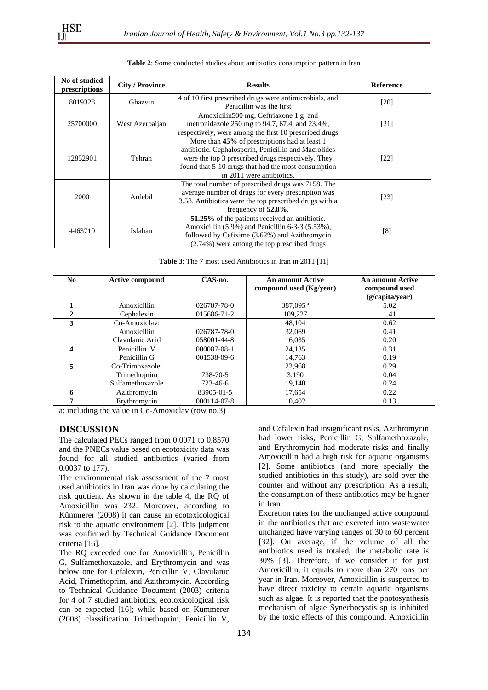| No of studied | <b>City / Province</b> | <b>Results</b>                                                                                                                                                                                                                                  | <b>Reference</b> |
|---------------|------------------------|-------------------------------------------------------------------------------------------------------------------------------------------------------------------------------------------------------------------------------------------------|------------------|
| prescriptions |                        | 4 of 10 first prescribed drugs were antimicrobials, and                                                                                                                                                                                         |                  |
| 8019328       | Ghazvin                | Penicillin was the first                                                                                                                                                                                                                        | [20]             |
| 25700000      | West Azerbaijan        | Amoxicilin500 mg, Ceftriaxone 1 g and<br>metronidazole 250 mg to 94.7, 67.4, and 23.4%,<br>respectively, were among the first 10 prescribed drugs                                                                                               | [21]             |
| 12852901      | Tehran                 | More than 45% of prescriptions had at least 1<br>antibiotic. Cephalosporin, Penicillin and Macrolides<br>were the top 3 prescribed drugs respectively. They<br>found that 5-10 drugs that had the most consumption<br>in 2011 were antibiotics. | $[22]$           |
| 2000          | Ardebil                | The total number of prescribed drugs was 7158. The<br>average number of drugs for every prescription was<br>3.58. Antibiotics were the top prescribed drugs with a<br>frequency of $52.8\%$ .                                                   | $[23]$           |
| 4463710       | Isfahan                | 51.25% of the patients received an antibiotic.<br>Amoxicillin (5.9%) and Penicillin 6-3-3 (5.53%),<br>followed by Cefixime (3.62%) and Azithromycin<br>(2.74%) were among the top prescribed drugs                                              | [8]              |

**Table 3**: The 7 most used Antibiotics in Iran in 2011 [11]

| No. | <b>Active compound</b> | CAS-no.           | <b>An amount Active</b><br>compound used (Kg/year) | <b>An amount Active</b><br>compound used<br>(g/capita/year) |
|-----|------------------------|-------------------|----------------------------------------------------|-------------------------------------------------------------|
|     | Amoxicillin            | 026787-78-0       | 387,095 <sup>a</sup>                               | 5.02                                                        |
|     | Cephalexin             | 015686-71-2       | 109,227                                            | 1.41                                                        |
| 3   | Co-Amoxiclay:          |                   | 48,104                                             | 0.62                                                        |
|     | Amoxicillin            | 026787-78-0       | 32,069                                             | 0.41                                                        |
|     | Clavulanic Acid        | 058001-44-8       | 16,035                                             | 0.20                                                        |
| 4   | Penicillin V           | 000087-08-1       | 24,135                                             | 0.31                                                        |
|     | Penicillin G           | 001538-09-6       | 14,763                                             | 0.19                                                        |
| 5   | Co-Trimoxazole:        |                   | 22,968                                             | 0.29                                                        |
|     | Trimethoprim           | 738-70-5          | 3,190                                              | 0.04                                                        |
|     | Sulfamethoxazole       | 723-46-6          | 19,140                                             | 0.24                                                        |
| 6   | Azithromycin           | 83905-01-5        | 17,654                                             | 0.22                                                        |
| 7   | Erythromycin           | $000114 - 07 - 8$ | 10.402                                             | 0.13                                                        |

a: including the value in Co-Amoxiclav (row no.3)

#### **DISCUSSION**

The calculated PECs ranged from 0.0071 to 0.8570 and the PNECs value based on ecotoxicity data was found for all studied antibiotics (varied from 0.0037 to 177).

The environmental risk assessment of the 7 most used antibiotics in Iran was done by calculating the risk quotient. As shown in the table 4, the RQ of Amoxicillin was 232. Moreover, according to Kümmerer (2008) it can cause an ecotoxicological risk to the aquatic environment [2]. This judgment was confirmed by Technical Guidance Document criteria [16].

The RQ exceeded one for Amoxicillin, Penicillin G, Sulfamethoxazole, and Erythromycin and was below one for Cefalexin, Penicillin V, Clavulanic Acid, Trimethoprim, and Azithromycin. According to Technical Guidance Document (2003) criteria for 4 of 7 studied antibiotics, ecotoxicological risk can be expected [16]; while based on Kümmerer (2008) classification Trimethoprim, Penicillin V,

and Cefalexin had insignificant risks, Azithromycin had lower risks, Penicillin G, Sulfamethoxazole, and Erythromycin had moderate risks and finally Amoxicillin had a high risk for aquatic organisms [2]. Some antibiotics (and more specially the studied antibiotics in this study), are sold over the counter and without any prescription. As a result, the consumption of these antibiotics may be higher in Iran.

Excretion rates for the unchanged active compound in the antibiotics that are excreted into wastewater unchanged have varying ranges of 30 to 60 percent [32]. On average, if the volume of all the antibiotics used is totaled, the metabolic rate is 30% [3]. Therefore, if we consider it for just Amoxicillin, it equals to more than 270 tons per year in Iran. Moreover, Amoxicillin is suspected to have direct toxicity to certain aquatic organisms such as algae. It is reported that the photosynthesis mechanism of algae Synechocystis sp is inhibited by the toxic effects of this compound. Amoxicillin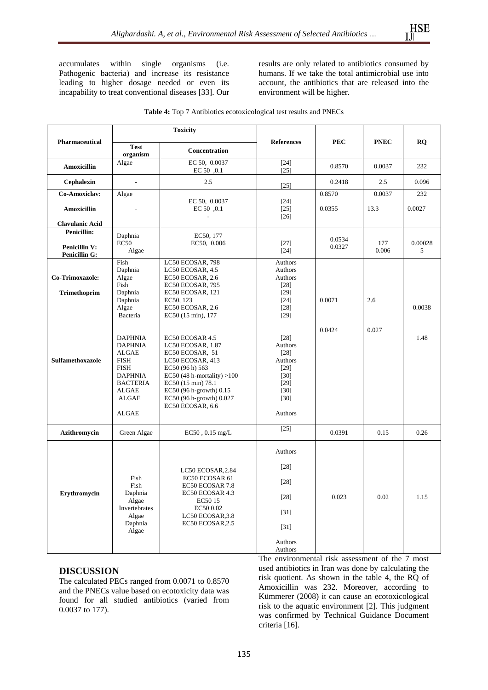accumulates within single organisms (i.e. Pathogenic bacteria) and increase its resistance leading to higher dosage needed or even its incapability to treat conventional diseases [33]. Our

results are only related to antibiotics consumed by humans. If we take the total antimicrobial use into account, the antibiotics that are released into the environment will be higher.

|                                              | <b>Toxicity</b>                                                                                                                                       |                                                                                                                                                                                                                                 |                                                                                                 |            |              |                        |  |
|----------------------------------------------|-------------------------------------------------------------------------------------------------------------------------------------------------------|---------------------------------------------------------------------------------------------------------------------------------------------------------------------------------------------------------------------------------|-------------------------------------------------------------------------------------------------|------------|--------------|------------------------|--|
| <b>Pharmaceutical</b>                        | <b>Test</b><br>organism                                                                                                                               | <b>Concentration</b>                                                                                                                                                                                                            | <b>References</b>                                                                               | <b>PEC</b> | <b>PNEC</b>  | $\mathbf{R}\mathbf{Q}$ |  |
| Amoxicillin                                  | Algae                                                                                                                                                 | EC 50, 0.0037<br>EC 50 0.1                                                                                                                                                                                                      | $[24]$<br>0.8570<br>$[25]$                                                                      |            | 0.0037       | 232                    |  |
| Cephalexin                                   | $\sim$                                                                                                                                                | 2.5                                                                                                                                                                                                                             | $[25]$                                                                                          | 0.2418     | 2.5          | 0.096                  |  |
| Co-Amoxiclav:                                | Algae                                                                                                                                                 | EC 50, 0.0037                                                                                                                                                                                                                   | $[24]$                                                                                          | 0.8570     | 0.0037       | 232                    |  |
| <b>Amoxicillin</b>                           |                                                                                                                                                       | EC 50 ,0.1                                                                                                                                                                                                                      | $[25]$<br>$[26]$                                                                                | 0.0355     | 13.3         | 0.0027                 |  |
| <b>Clavulanic Acid</b>                       |                                                                                                                                                       |                                                                                                                                                                                                                                 |                                                                                                 |            |              |                        |  |
| <b>Penicillin:</b>                           | Daphnia                                                                                                                                               | EC50, 177                                                                                                                                                                                                                       |                                                                                                 | 0.0534     |              |                        |  |
| <b>Penicillin V:</b><br><b>Penicillin G:</b> | <b>EC50</b><br>Algae                                                                                                                                  | EC50, 0.006                                                                                                                                                                                                                     | $[27]$<br>$[24]$                                                                                | 0.0327     | 177<br>0.006 | 0.00028<br>5           |  |
| Co-Trimoxazole:                              | Fish<br>Daphnia<br>Algae<br>Fish                                                                                                                      | LC50 ECOSAR, 798<br>LC50 ECOSAR, 4.5<br>EC50 ECOSAR, 2.6<br>EC50 ECOSAR, 795                                                                                                                                                    | Authors<br>Authors<br>Authors<br>[28]                                                           |            |              |                        |  |
| <b>Trimethoprim</b>                          | Daphnia<br>Daphnia<br>Algae<br>Bacteria                                                                                                               | EC50 ECOSAR, 121<br>EC50, 123<br>EC50 ECOSAR, 2.6<br>EC50 (15 min), 177                                                                                                                                                         | [29]<br>$[24]$<br>$[28]$<br>$[29]$                                                              | 0.0071     | 2.6          | 0.0038                 |  |
| <b>Sulfamethoxazole</b>                      | <b>DAPHNIA</b><br><b>DAPHNIA</b><br>ALGAE<br><b>FISH</b><br><b>FISH</b><br><b>DAPHNIA</b><br><b>BACTERIA</b><br><b>ALGAE</b><br>ALGAE<br><b>ALGAE</b> | EC50 ECOSAR 4.5<br>LC50 ECOSAR, 1.87<br>EC50 ECOSAR, 51<br>LC50 ECOSAR, 413<br>EC50 (96 h) 563<br>EC50 (48 h-mortality) $>100$<br>EC50 (15 min) 78.1<br>EC50 (96 h-growth) 0.15<br>EC50 (96 h-growth) 0.027<br>EC50 ECOSAR, 6.6 | [28]<br>Authors<br>$[28]$<br>Authors<br>$[29]$<br>$[30]$<br>$[29]$<br>$[30]$<br>[30]<br>Authors | 0.0424     | 0.027        | 1.48                   |  |
| Azithromycin                                 | Green Algae                                                                                                                                           | $EC50$ , 0.15 mg/L                                                                                                                                                                                                              | $[25]$                                                                                          | 0.0391     | 0.15         | 0.26                   |  |
| Erythromycin                                 | Fish<br>Fish<br>Daphnia<br>Algae<br>Invertebrates<br>Algae<br>Daphnia<br>Algae                                                                        | LC50 ECOSAR, 2.84<br>EC50 ECOSAR 61<br>EC50 ECOSAR 7.8<br>EC50 ECOSAR 4.3<br>EC50 15<br>EC50 0.02<br>LC50 ECOSAR, 3.8<br>EC50 ECOSAR, 2.5                                                                                       | Authors<br>$[28]$<br>[28]<br>[28]<br>$[31]$<br>$[31]$<br>Authors                                | 0.023      | 0.02         | 1.15                   |  |
|                                              |                                                                                                                                                       |                                                                                                                                                                                                                                 | Authors                                                                                         |            |              |                        |  |

|  |  | <b>Table 4:</b> Top 7 Antibiotics ecotoxicological test results and PNECs |  |  |
|--|--|---------------------------------------------------------------------------|--|--|
|--|--|---------------------------------------------------------------------------|--|--|

# **DISCUSSION**

The calculated PECs ranged from 0.0071 to 0.8570 and the PNECs value based on ecotoxicity data was found for all studied antibiotics (varied from 0.0037 to 177).

The environmental risk assessment of the 7 most used antibiotics in Iran was done by calculating the risk quotient. As shown in the table 4, the RQ of Amoxicillin was 232. Moreover, according to Kümmerer (2008) it can cause an ecotoxicological risk to the aquatic environment [2]. This judgment was confirmed by Technical Guidance Document criteria [16].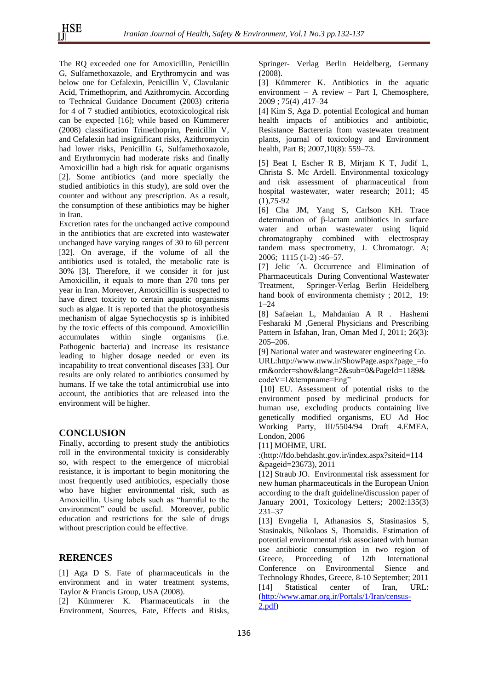The RQ exceeded one for Amoxicillin, Penicillin G, Sulfamethoxazole, and Erythromycin and was below one for Cefalexin, Penicillin V, Clavulanic Acid, Trimethoprim, and Azithromycin. According to Technical Guidance Document (2003) criteria for 4 of 7 studied antibiotics, ecotoxicological risk can be expected [16]; while based on Kümmerer (2008) classification Trimethoprim, Penicillin V, and Cefalexin had insignificant risks, Azithromycin had lower risks, Penicillin G, Sulfamethoxazole, and Erythromycin had moderate risks and finally Amoxicillin had a high risk for aquatic organisms [2]. Some antibiotics (and more specially the studied antibiotics in this study), are sold over the counter and without any prescription. As a result, the consumption of these antibiotics may be higher in Iran.

Excretion rates for the unchanged active compound in the antibiotics that are excreted into wastewater unchanged have varying ranges of 30 to 60 percent [32]. On average, if the volume of all the antibiotics used is totaled, the metabolic rate is 30% [3]. Therefore, if we consider it for just Amoxicillin, it equals to more than 270 tons per year in Iran. Moreover, Amoxicillin is suspected to have direct toxicity to certain aquatic organisms such as algae. It is reported that the photosynthesis mechanism of algae Synechocystis sp is inhibited by the toxic effects of this compound. Amoxicillin accumulates within single organisms (i.e. Pathogenic bacteria) and increase its resistance leading to higher dosage needed or even its incapability to treat conventional diseases [33]. Our results are only related to antibiotics consumed by humans. If we take the total antimicrobial use into account, the antibiotics that are released into the environment will be higher.

## **CONCLUSION**

Finally, according to present study the antibiotics roll in the environmental toxicity is considerably so, with respect to the emergence of microbial resistance, it is important to begin monitoring the most frequently used antibiotics, especially those who have higher environmental risk, such as Amoxicillin. Using labels such as "harmful to the environment" could be useful. Moreover, public education and restrictions for the sale of drugs without prescription could be effective.

## **RERENCES**

[1] Aga D S. Fate of pharmaceuticals in the environment and in water treatment systems, Taylor & Francis Group, USA (2008).

[2] Kümmerer K. Pharmaceuticals in the Environment, Sources, Fate, Effects and Risks, Springer- Verlag Berlin Heidelberg, Germany (2008).

[3] Kümmerer K. Antibiotics in the aquatic environment – A review – Part I, Chemosphere, 2009 ; 75(4) ,417–34

[4] Kim S, Aga D. potential Ecological and human health impacts of antibiotics and antibiotic, Resistance Bactereria ftom wastewater treatment plants, journal of toxicology and Environment health, Part B: 2007, 10(8): 559–73.

[5] Beat I, Escher R B, Mirjam K T, Judif L, Christa S. Mc Ardell. Environmental toxicology and risk assessment of pharmaceutical from hospital wastewater, water research; 2011; 45  $(1)$ , 75-92

[6] Cha JM, Yang S, Carlson KH. Trace determination of β-lactam antibiotics in surface water and urban wastewater using liquid chromatography combined with electrospray tandem mass spectrometry, J. Chromatogr. A; 2006; 1115 (1-2) :46–57.

[7] Jelic ´A. Occurrence and Elimination of Pharmaceuticals During Conventional Wastewater Treatment, Springer-Verlag Berlin Heidelberg hand book of environmenta chemisty ; 2012, 19: 1–24

[8] Safaeian L, [Mahdanian](http://www.ncbi.nlm.nih.gov/pubmed/?term=Mahdanian%20AR%5Bauth%5D) A R . [Hashemi](http://www.ncbi.nlm.nih.gov/pubmed/?term=Hashemi-Fesharaki%20M%5Bauth%5D)  [Fesharaki M](http://www.ncbi.nlm.nih.gov/pubmed/?term=Hashemi-Fesharaki%20M%5Bauth%5D) ,General Physicians and Prescribing Pattern in Isfahan, Iran, Oman Med J, 2011; 26(3): 205–206.

[9] National water and wastewater engineering Co. URL:http://www.nww.ir/ShowPage.aspx?page\_=fo rm&order=show&lang=2&sub=0&PageId=1189& codeV=1&tempname=Eng"

[10] EU. Assessment of potential risks to the environment posed by medicinal products for human use, excluding products containing live genetically modified organisms, EU Ad Hoc Working Party, III/5504/94 Draft 4.EMEA, London, 2006

[11] MOHME, URL

:[\(http://fdo.behdasht.gov.ir/index.aspx?siteid=114](http://fdo.behdasht.gov.ir/index.aspx?siteid=114&pageid=23673) [&pageid=23673\)](http://fdo.behdasht.gov.ir/index.aspx?siteid=114&pageid=23673), 2011

[12] Straub JO. Environmental risk assessment for new human pharmaceuticals in the European Union according to the draft guideline/discussion paper of January 2001, Toxicology Letters; 2002:135(3) 231–37

[13] Evngelia I, Athanasios S, Stasinasios S, Stasinakis, Nikolaos S, Thomaidis. Estimation of potential environmental risk associated with human use antibiotic consumption in two region of Greece, Proceeding of 12th International Conference on Environmental Sience and Technology Rhodes, Greece, 8-10 September; 2011 [14] Statistical center of Iran, URL: [\(http://www.amar.org.ir/Portals/1/Iran/census-](http://www.amar.org.ir/Portals/1/Iran/census-2.pdf) $2.pdf$